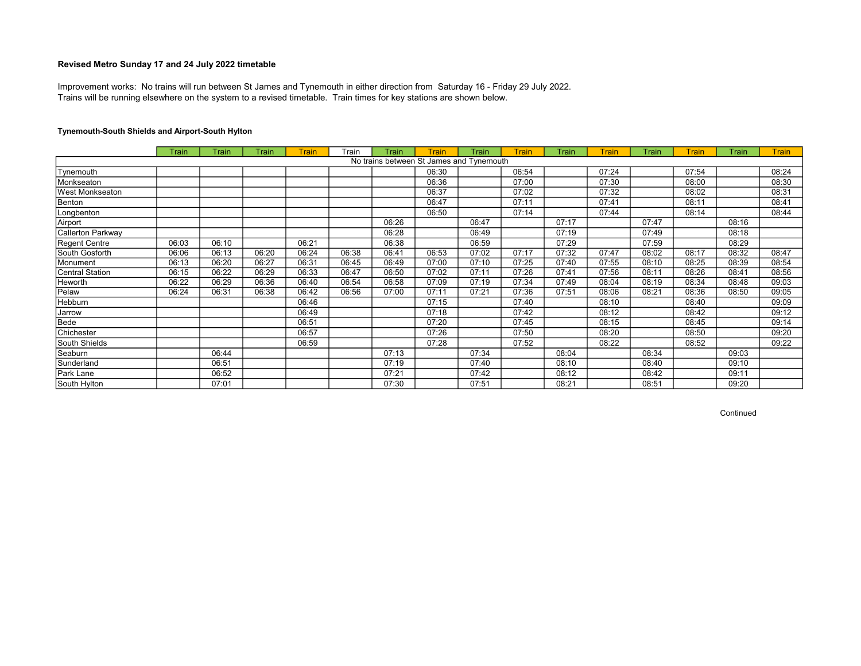Trains will be running elsewhere on the system to a revised timetable. Train times for key stations are shown below. Improvement works: No trains will run between St James and Tynemouth in either direction from Saturday 16 - Friday 29 July 2022.

# Tynemouth-South Shields and Airport-South Hylton

|                   | Train | Train | Train | <b>Train</b> | Train | Train | <b>Train</b>                             | Train | <b>Train</b> | Train | <b>Train</b> | Train | <b>Train</b> | <b>Train</b> | <b>Train</b> |
|-------------------|-------|-------|-------|--------------|-------|-------|------------------------------------------|-------|--------------|-------|--------------|-------|--------------|--------------|--------------|
|                   |       |       |       |              |       |       | No trains between St James and Tynemouth |       |              |       |              |       |              |              |              |
| Tynemouth         |       |       |       |              |       |       | 06:30                                    |       | 06:54        |       | 07:24        |       | 07:54        |              | 08:24        |
| Monkseaton        |       |       |       |              |       |       | 06:36                                    |       | 07:00        |       | 07:30        |       | 08:00        |              | 08:30        |
| West Monkseaton   |       |       |       |              |       |       | 06:37                                    |       | 07:02        |       | 07:32        |       | 08:02        |              | 08:31        |
| Benton            |       |       |       |              |       |       | 06:47                                    |       | 07:11        |       | 07:41        |       | 08:11        |              | 08:41        |
| Longbenton        |       |       |       |              |       |       | 06:50                                    |       | 07:14        |       | 07:44        |       | 08:14        |              | 08:44        |
| Airport           |       |       |       |              |       | 06:26 |                                          | 06:47 |              | 07:17 |              | 07:47 |              | 08:16        |              |
| Callerton Parkway |       |       |       |              |       | 06:28 |                                          | 06:49 |              | 07:19 |              | 07:49 |              | 08:18        |              |
| Regent Centre     | 06:03 | 06:10 |       | 06:21        |       | 06:38 |                                          | 06:59 |              | 07:29 |              | 07:59 |              | 08:29        |              |
| South Gosforth    | 06:06 | 06:13 | 06:20 | 06:24        | 06:38 | 06:41 | 06:53                                    | 07:02 | 07:17        | 07:32 | 07:47        | 08:02 | 08:17        | 08:32        | 08:47        |
| Monument          | 06:13 | 06:20 | 06:27 | 06:31        | 06:45 | 06:49 | 07:00                                    | 07:10 | 07:25        | 07:40 | 07:55        | 08:10 | 08:25        | 08:39        | 08:54        |
| Central Station   | 06:15 | 06:22 | 06:29 | 06:33        | 06:47 | 06:50 | 07:02                                    | 07:11 | 07:26        | 07:41 | 07:56        | 08:11 | 08:26        | 08:41        | 08:56        |
| Heworth           | 06:22 | 06:29 | 06:36 | 06:40        | 06:54 | 06:58 | 07:09                                    | 07:19 | 07:34        | 07:49 | 08:04        | 08:19 | 08:34        | 08:48        | 09:03        |
| Pelaw             | 06:24 | 06:31 | 06:38 | 06:42        | 06:56 | 07:00 | 07:11                                    | 07:21 | 07:36        | 07:51 | 08:06        | 08:21 | 08:36        | 08:50        | 09:05        |
| Hebburn           |       |       |       | 06:46        |       |       | 07:15                                    |       | 07:40        |       | 08:10        |       | 08:40        |              | 09:09        |
| Jarrow            |       |       |       | 06:49        |       |       | 07:18                                    |       | 07:42        |       | 08:12        |       | 08:42        |              | 09:12        |
| Bede              |       |       |       | 06:51        |       |       | 07:20                                    |       | 07:45        |       | 08:15        |       | 08:45        |              | 09:14        |
| Chichester        |       |       |       | 06:57        |       |       | 07:26                                    |       | 07:50        |       | 08:20        |       | 08:50        |              | 09:20        |
| South Shields     |       |       |       | 06:59        |       |       | 07:28                                    |       | 07:52        |       | 08:22        |       | 08:52        |              | 09:22        |
| Seaburn           |       | 06:44 |       |              |       | 07:13 |                                          | 07:34 |              | 08:04 |              | 08:34 |              | 09:03        |              |
| Sunderland        |       | 06:51 |       |              |       | 07:19 |                                          | 07:40 |              | 08:10 |              | 08:40 |              | 09:10        |              |
| Park Lane         |       | 06:52 |       |              |       | 07:21 |                                          | 07:42 |              | 08:12 |              | 08:42 |              | 09:11        |              |
| South Hylton      |       | 07:01 |       |              |       | 07:30 |                                          | 07:51 |              | 08:21 |              | 08:51 |              | 09:20        |              |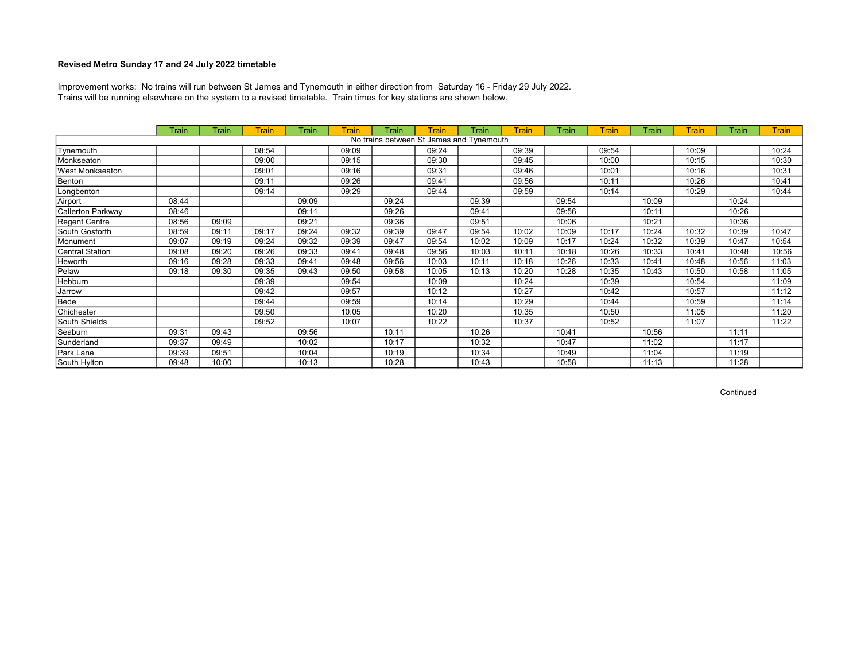Trains will be running elsewhere on the system to a revised timetable. Train times for key stations are shown below. Improvement works: No trains will run between St James and Tynemouth in either direction from Saturday 16 - Friday 29 July 2022.

|                   | Train | Train | <b>Train</b> | Train | Train | Train | <b>Train</b>                             | Train | Train | Train | <b>Train</b> | Train | <b>Train</b> | Train | <b>Train</b> |
|-------------------|-------|-------|--------------|-------|-------|-------|------------------------------------------|-------|-------|-------|--------------|-------|--------------|-------|--------------|
|                   |       |       |              |       |       |       | No trains between St James and Tynemouth |       |       |       |              |       |              |       |              |
| Tynemouth         |       |       | 08:54        |       | 09:09 |       | 09:24                                    |       | 09:39 |       | 09:54        |       | 10:09        |       | 10:24        |
| Monkseaton        |       |       | 09:00        |       | 09:15 |       | 09:30                                    |       | 09:45 |       | 10:00        |       | 10:15        |       | 10:30        |
| West Monkseaton   |       |       | 09:01        |       | 09:16 |       | 09:31                                    |       | 09:46 |       | 10:01        |       | 10:16        |       | 10:31        |
| Benton            |       |       | 09:11        |       | 09:26 |       | 09:41                                    |       | 09:56 |       | 10:11        |       | 10:26        |       | 10:41        |
| Longbenton        |       |       | 09:14        |       | 09:29 |       | 09:44                                    |       | 09:59 |       | 10:14        |       | 10:29        |       | 10:44        |
| Airport           | 08:44 |       |              | 09:09 |       | 09:24 |                                          | 09:39 |       | 09:54 |              | 10:09 |              | 10:24 |              |
| Callerton Parkway | 08:46 |       |              | 09:11 |       | 09:26 |                                          | 09:41 |       | 09:56 |              | 10:11 |              | 10:26 |              |
| Regent Centre     | 08:56 | 09:09 |              | 09:21 |       | 09:36 |                                          | 09:51 |       | 10:06 |              | 10:21 |              | 10:36 |              |
| South Gosforth    | 08:59 | 09:11 | 09:17        | 09:24 | 09:32 | 09:39 | 09:47                                    | 09:54 | 10:02 | 10:09 | 10:17        | 10:24 | 10:32        | 10:39 | 10:47        |
| Monument          | 09:07 | 09:19 | 09:24        | 09:32 | 09:39 | 09:47 | 09:54                                    | 10:02 | 10:09 | 10:17 | 10:24        | 10:32 | 10:39        | 10:47 | 10:54        |
| Central Station   | 09:08 | 09:20 | 09:26        | 09:33 | 09:41 | 09:48 | 09:56                                    | 10:03 | 10:11 | 10:18 | 10:26        | 10:33 | 10:41        | 10:48 | 10:56        |
| Heworth           | 09:16 | 09:28 | 09:33        | 09:41 | 09:48 | 09:56 | 10:03                                    | 10:11 | 10:18 | 10:26 | 10:33        | 10:41 | 10:48        | 10:56 | 11:03        |
| Pelaw             | 09:18 | 09:30 | 09:35        | 09:43 | 09:50 | 09:58 | 10:05                                    | 10:13 | 10:20 | 10:28 | 10:35        | 10:43 | 10:50        | 10:58 | 11:05        |
| Hebburn           |       |       | 09:39        |       | 09:54 |       | 10:09                                    |       | 10:24 |       | 10:39        |       | 10:54        |       | 11:09        |
| Jarrow            |       |       | 09:42        |       | 09:57 |       | 10:12                                    |       | 10:27 |       | 10:42        |       | 10:57        |       | 11:12        |
| Bede              |       |       | 09:44        |       | 09:59 |       | 10:14                                    |       | 10:29 |       | 10:44        |       | 10:59        |       | 11:14        |
| Chichester        |       |       | 09:50        |       | 10:05 |       | 10:20                                    |       | 10:35 |       | 10:50        |       | 11:05        |       | 11:20        |
| South Shields     |       |       | 09:52        |       | 10:07 |       | 10:22                                    |       | 10:37 |       | 10:52        |       | 11:07        |       | 11:22        |
| Seaburn           | 09:31 | 09:43 |              | 09:56 |       | 10:11 |                                          | 10:26 |       | 10:41 |              | 10:56 |              | 11:11 |              |
| Sunderland        | 09:37 | 09:49 |              | 10:02 |       | 10:17 |                                          | 10:32 |       | 10:47 |              | 11:02 |              | 11:17 |              |
| Park Lane         | 09:39 | 09:51 |              | 10:04 |       | 10:19 |                                          | 10:34 |       | 10:49 |              | 11:04 |              | 11:19 |              |
| South Hylton      | 09:48 | 10:00 |              | 10:13 |       | 10:28 |                                          | 10:43 |       | 10:58 |              | 11:13 |              | 11:28 |              |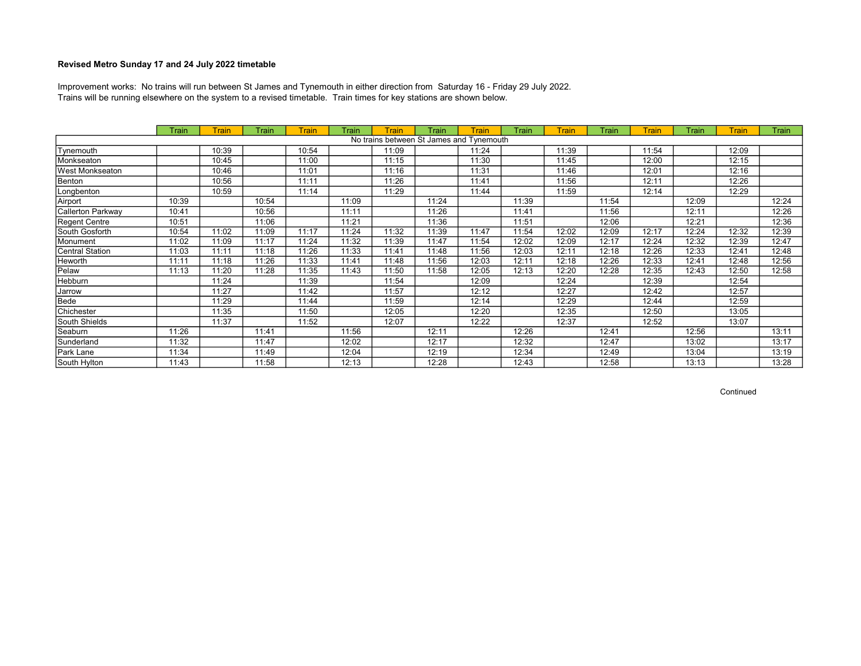Trains will be running elsewhere on the system to a revised timetable. Train times for key stations are shown below. Improvement works: No trains will run between St James and Tynemouth in either direction from Saturday 16 - Friday 29 July 2022.

|                   | Train | Train | Train | <b>Train</b> | Train | <b>Train</b> | Train | Train                                    | Train | <b>Train</b> | Train | Train | Train | Train | Train |
|-------------------|-------|-------|-------|--------------|-------|--------------|-------|------------------------------------------|-------|--------------|-------|-------|-------|-------|-------|
|                   |       |       |       |              |       |              |       | No trains between St James and Tynemouth |       |              |       |       |       |       |       |
| Tynemouth         |       | 10:39 |       | 10:54        |       | 11:09        |       | 11:24                                    |       | 11:39        |       | 11:54 |       | 12:09 |       |
| Monkseaton        |       | 10:45 |       | 11:00        |       | 11:15        |       | 11:30                                    |       | 11:45        |       | 12:00 |       | 12:15 |       |
| West Monkseaton   |       | 10:46 |       | 11:01        |       | 11:16        |       | 11:31                                    |       | 11:46        |       | 12:01 |       | 12:16 |       |
| Benton            |       | 10:56 |       | 11:11        |       | 11:26        |       | 11:41                                    |       | 11:56        |       | 12:11 |       | 12:26 |       |
| Longbenton        |       | 10:59 |       | 11:14        |       | 11:29        |       | 11:44                                    |       | 11:59        |       | 12:14 |       | 12:29 |       |
| Airport           | 10:39 |       | 10:54 |              | 11:09 |              | 11:24 |                                          | 11:39 |              | 11:54 |       | 12:09 |       | 12:24 |
| Callerton Parkway | 10:41 |       | 10:56 |              | 11:11 |              | 11:26 |                                          | 11:41 |              | 11:56 |       | 12:11 |       | 12:26 |
| Regent Centre     | 10:51 |       | 11:06 |              | 11:21 |              | 11:36 |                                          | 11:51 |              | 12:06 |       | 12:21 |       | 12:36 |
| South Gosforth    | 10:54 | 11:02 | 11:09 | 11:17        | 11:24 | 11:32        | 11:39 | 11:47                                    | 11:54 | 12:02        | 12:09 | 12:17 | 12:24 | 12:32 | 12:39 |
| Monument          | 11:02 | 11:09 | 11:17 | 11:24        | 11:32 | 11:39        | 11:47 | 11:54                                    | 12:02 | 12:09        | 12:17 | 12:24 | 12:32 | 12:39 | 12:47 |
| Central Station   | 11:03 | 11:11 | 11:18 | 11:26        | 11:33 | 11:41        | 11:48 | 11:56                                    | 12:03 | 12:11        | 12:18 | 12:26 | 12:33 | 12:41 | 12:48 |
| Heworth           | 11:11 | 11:18 | 11:26 | 11:33        | 11:41 | 11:48        | 11:56 | 12:03                                    | 12:11 | 12:18        | 12:26 | 12:33 | 12:41 | 12:48 | 12:56 |
| Pelaw             | 11:13 | 11:20 | 11:28 | 11:35        | 11:43 | 11:50        | 11:58 | 12:05                                    | 12:13 | 12:20        | 12:28 | 12:35 | 12:43 | 12:50 | 12:58 |
| Hebburn           |       | 11:24 |       | 11:39        |       | 11:54        |       | 12:09                                    |       | 12:24        |       | 12:39 |       | 12:54 |       |
| Jarrow            |       | 11:27 |       | 11:42        |       | 11:57        |       | 12:12                                    |       | 12:27        |       | 12:42 |       | 12:57 |       |
| Bede              |       | 11:29 |       | 11:44        |       | 11:59        |       | 12:14                                    |       | 12:29        |       | 12:44 |       | 12:59 |       |
| Chichester        |       | 11:35 |       | 11:50        |       | 12:05        |       | 12:20                                    |       | 12:35        |       | 12:50 |       | 13:05 |       |
| South Shields     |       | 11:37 |       | 11:52        |       | 12:07        |       | 12:22                                    |       | 12:37        |       | 12:52 |       | 13:07 |       |
| Seaburn           | 11:26 |       | 11:41 |              | 11:56 |              | 12:11 |                                          | 12:26 |              | 12:41 |       | 12:56 |       | 13:11 |
| Sunderland        | 11:32 |       | 11:47 |              | 12:02 |              | 12:17 |                                          | 12:32 |              | 12:47 |       | 13:02 |       | 13:17 |
| Park Lane         | 11:34 |       | 11:49 |              | 12:04 |              | 12:19 |                                          | 12:34 |              | 12:49 |       | 13:04 |       | 13:19 |
| South Hylton      | 11:43 |       | 11:58 |              | 12:13 |              | 12:28 |                                          | 12:43 |              | 12:58 |       | 13:13 |       | 13:28 |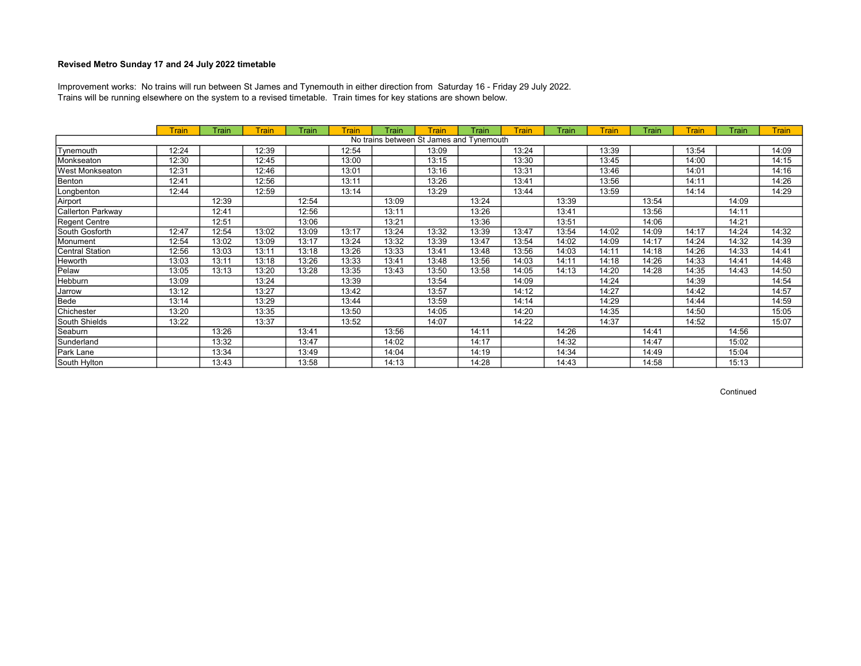Trains will be running elsewhere on the system to a revised timetable. Train times for key stations are shown below. Improvement works: No trains will run between St James and Tynemouth in either direction from Saturday 16 - Friday 29 July 2022.

|                   | <b>Train</b> | Train | Train | Train | Train | Train | <b>Train</b>                             | Train | <b>Train</b> | Train | <b>Train</b> | Train | <b>Train</b> | Train | <b>Train</b> |
|-------------------|--------------|-------|-------|-------|-------|-------|------------------------------------------|-------|--------------|-------|--------------|-------|--------------|-------|--------------|
|                   |              |       |       |       |       |       | No trains between St James and Tynemouth |       |              |       |              |       |              |       |              |
| Tynemouth         | 12:24        |       | 12:39 |       | 12:54 |       | 13:09                                    |       | 13:24        |       | 13:39        |       | 13:54        |       | 14:09        |
| Monkseaton        | 12:30        |       | 12:45 |       | 13:00 |       | 13:15                                    |       | 13:30        |       | 13:45        |       | 14:00        |       | 14:15        |
| West Monkseaton   | 12:31        |       | 12:46 |       | 13:01 |       | 13:16                                    |       | 13:31        |       | 13:46        |       | 14:01        |       | 14:16        |
| Benton            | 12:41        |       | 12:56 |       | 13:11 |       | 13:26                                    |       | 13:41        |       | 13:56        |       | 14:11        |       | 14:26        |
| Longbenton        | 12:44        |       | 12:59 |       | 13:14 |       | 13:29                                    |       | 13:44        |       | 13:59        |       | 14:14        |       | 14:29        |
| Airport           |              | 12:39 |       | 12:54 |       | 13:09 |                                          | 13:24 |              | 13:39 |              | 13:54 |              | 14:09 |              |
| Callerton Parkway |              | 12:41 |       | 12:56 |       | 13:11 |                                          | 13:26 |              | 13:41 |              | 13:56 |              | 14:11 |              |
| Regent Centre     |              | 12:51 |       | 13:06 |       | 13:21 |                                          | 13:36 |              | 13:51 |              | 14:06 |              | 14:21 |              |
| South Gosforth    | 12:47        | 12:54 | 13:02 | 13:09 | 13:17 | 13:24 | 13:32                                    | 13:39 | 13:47        | 13:54 | 14:02        | 14:09 | 14:17        | 14:24 | 14:32        |
| Monument          | 12:54        | 13:02 | 13:09 | 13:17 | 13:24 | 13:32 | 13:39                                    | 13:47 | 13:54        | 14:02 | 14:09        | 14:17 | 14:24        | 14:32 | 14:39        |
| Central Station   | 12:56        | 13:03 | 13:11 | 13:18 | 13:26 | 13:33 | 13:41                                    | 13:48 | 13:56        | 14:03 | 14:11        | 14:18 | 14:26        | 14:33 | 14:41        |
| Heworth           | 13:03        | 13:11 | 13:18 | 13:26 | 13:33 | 13:41 | 13:48                                    | 13:56 | 14:03        | 14:11 | 14:18        | 14:26 | 14:33        | 14:41 | 14:48        |
| Pelaw             | 13:05        | 13:13 | 13:20 | 13:28 | 13:35 | 13:43 | 13:50                                    | 13:58 | 14:05        | 14:13 | 14:20        | 14:28 | 14:35        | 14:43 | 14:50        |
| Hebburn           | 13:09        |       | 13:24 |       | 13:39 |       | 13:54                                    |       | 14:09        |       | 14:24        |       | 14:39        |       | 14:54        |
| Jarrow            | 13:12        |       | 13:27 |       | 13:42 |       | 13:57                                    |       | 14:12        |       | 14:27        |       | 14:42        |       | 14:57        |
| Bede              | 13:14        |       | 13:29 |       | 13:44 |       | 13:59                                    |       | 14:14        |       | 14:29        |       | 14:44        |       | 14:59        |
| Chichester        | 13:20        |       | 13:35 |       | 13:50 |       | 14:05                                    |       | 14:20        |       | 14:35        |       | 14:50        |       | 15:05        |
| South Shields     | 13:22        |       | 13:37 |       | 13:52 |       | 14:07                                    |       | 14:22        |       | 14:37        |       | 14:52        |       | 15:07        |
| Seaburn           |              | 13:26 |       | 13:41 |       | 13:56 |                                          | 14:11 |              | 14:26 |              | 14:41 |              | 14:56 |              |
| Sunderland        |              | 13:32 |       | 13:47 |       | 14:02 |                                          | 14:17 |              | 14:32 |              | 14:47 |              | 15:02 |              |
| Park Lane         |              | 13:34 |       | 13:49 |       | 14:04 |                                          | 14:19 |              | 14:34 |              | 14:49 |              | 15:04 |              |
| South Hylton      |              | 13:43 |       | 13:58 |       | 14:13 |                                          | 14:28 |              | 14:43 |              | 14:58 |              | 15:13 |              |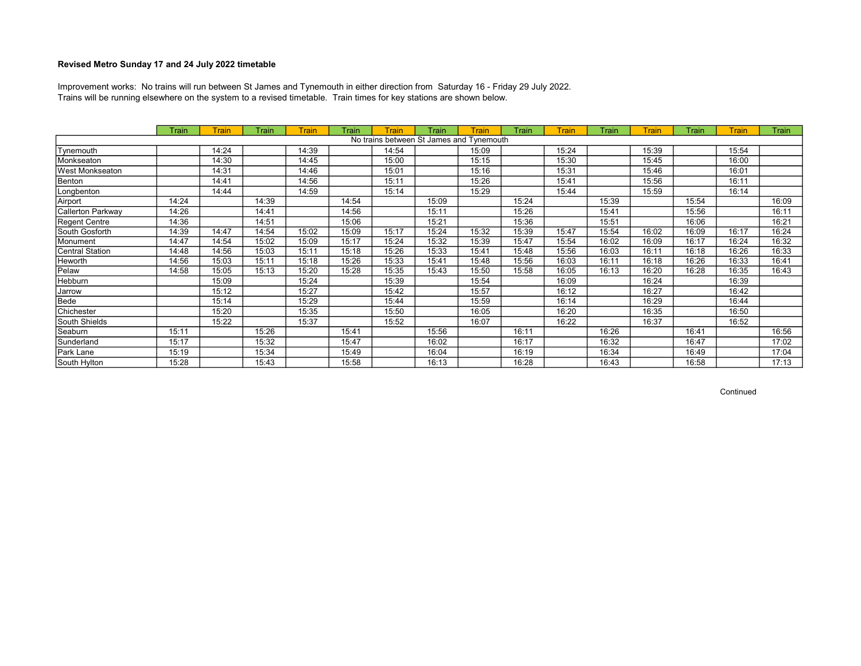Trains will be running elsewhere on the system to a revised timetable. Train times for key stations are shown below. Improvement works: No trains will run between St James and Tynemouth in either direction from Saturday 16 - Friday 29 July 2022.

|                   | Train | Train | Train | <b>Train</b> | Train | <b>Train</b> | Train | Train                                    | Train | <b>Train</b> | Train | Train | Train | Train | Train |
|-------------------|-------|-------|-------|--------------|-------|--------------|-------|------------------------------------------|-------|--------------|-------|-------|-------|-------|-------|
|                   |       |       |       |              |       |              |       | No trains between St James and Tynemouth |       |              |       |       |       |       |       |
| Tynemouth         |       | 14:24 |       | 14:39        |       | 14:54        |       | 15:09                                    |       | 15:24        |       | 15:39 |       | 15:54 |       |
| Monkseaton        |       | 14:30 |       | 14:45        |       | 15:00        |       | 15:15                                    |       | 15:30        |       | 15:45 |       | 16:00 |       |
| West Monkseaton   |       | 14:31 |       | 14:46        |       | 15:01        |       | 15:16                                    |       | 15:31        |       | 15:46 |       | 16:01 |       |
| Benton            |       | 14:41 |       | 14:56        |       | 15:11        |       | 15:26                                    |       | 15:41        |       | 15:56 |       | 16:11 |       |
| Longbenton        |       | 14:44 |       | 14:59        |       | 15:14        |       | 15:29                                    |       | 15:44        |       | 15:59 |       | 16:14 |       |
| Airport           | 14:24 |       | 14:39 |              | 14:54 |              | 15:09 |                                          | 15:24 |              | 15:39 |       | 15:54 |       | 16:09 |
| Callerton Parkway | 14:26 |       | 14:41 |              | 14:56 |              | 15:11 |                                          | 15:26 |              | 15:41 |       | 15:56 |       | 16:11 |
| Regent Centre     | 14:36 |       | 14:51 |              | 15:06 |              | 15:21 |                                          | 15:36 |              | 15:51 |       | 16:06 |       | 16:21 |
| South Gosforth    | 14:39 | 14:47 | 14:54 | 15:02        | 15:09 | 15:17        | 15:24 | 15:32                                    | 15:39 | 15:47        | 15:54 | 16:02 | 16:09 | 16:17 | 16:24 |
| Monument          | 14:47 | 14:54 | 15:02 | 15:09        | 15:17 | 15:24        | 15:32 | 15:39                                    | 15:47 | 15:54        | 16:02 | 16:09 | 16:17 | 16:24 | 16:32 |
| Central Station   | 14:48 | 14:56 | 15:03 | 15:11        | 15:18 | 15:26        | 15:33 | 15:41                                    | 15:48 | 15:56        | 16:03 | 16:11 | 16:18 | 16:26 | 16:33 |
| Heworth           | 14:56 | 15:03 | 15:11 | 15:18        | 15:26 | 15:33        | 15:41 | 15:48                                    | 15:56 | 16:03        | 16:11 | 16:18 | 16:26 | 16:33 | 16:41 |
| Pelaw             | 14:58 | 15:05 | 15:13 | 15:20        | 15:28 | 15:35        | 15:43 | 15:50                                    | 15:58 | 16:05        | 16:13 | 16:20 | 16:28 | 16:35 | 16:43 |
| Hebburn           |       | 15:09 |       | 15:24        |       | 15:39        |       | 15:54                                    |       | 16:09        |       | 16:24 |       | 16:39 |       |
| Jarrow            |       | 15:12 |       | 15:27        |       | 15:42        |       | 15:57                                    |       | 16:12        |       | 16:27 |       | 16:42 |       |
| Bede              |       | 15:14 |       | 15:29        |       | 15:44        |       | 15:59                                    |       | 16:14        |       | 16:29 |       | 16:44 |       |
| Chichester        |       | 15:20 |       | 15:35        |       | 15:50        |       | 16:05                                    |       | 16:20        |       | 16:35 |       | 16:50 |       |
| South Shields     |       | 15:22 |       | 15:37        |       | 15:52        |       | 16:07                                    |       | 16:22        |       | 16:37 |       | 16:52 |       |
| Seaburn           | 15:11 |       | 15:26 |              | 15:41 |              | 15:56 |                                          | 16:11 |              | 16:26 |       | 16:41 |       | 16:56 |
| Sunderland        | 15:17 |       | 15:32 |              | 15:47 |              | 16:02 |                                          | 16:17 |              | 16:32 |       | 16:47 |       | 17:02 |
| Park Lane         | 15:19 |       | 15:34 |              | 15:49 |              | 16:04 |                                          | 16:19 |              | 16:34 |       | 16:49 |       | 17:04 |
| South Hylton      | 15:28 |       | 15:43 |              | 15:58 |              | 16:13 |                                          | 16:28 |              | 16:43 |       | 16:58 |       | 17:13 |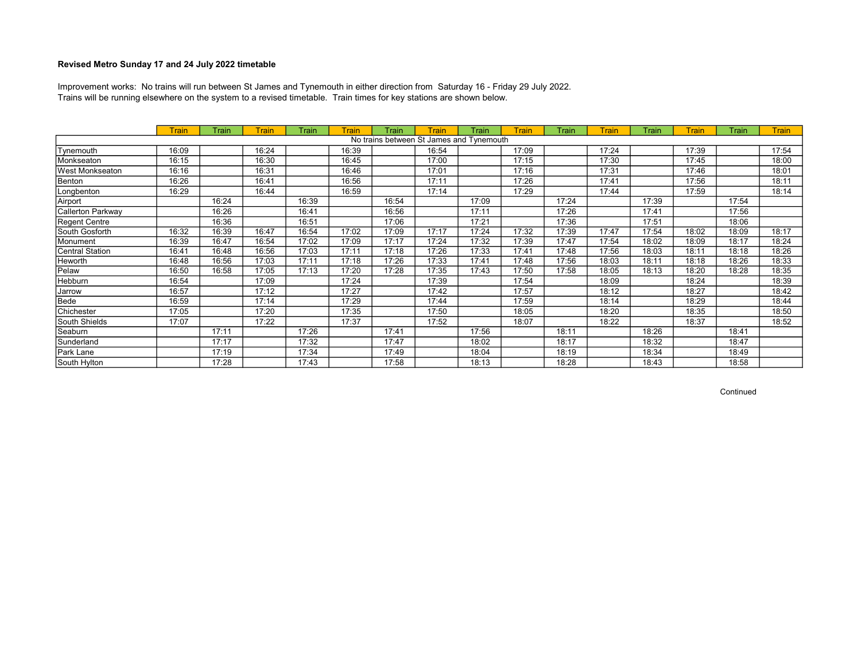Trains will be running elsewhere on the system to a revised timetable. Train times for key stations are shown below. Improvement works: No trains will run between St James and Tynemouth in either direction from Saturday 16 - Friday 29 July 2022.

|                   | <b>Train</b> | Train | Train | Train | Train | Train | <b>Train</b>                             | Train | <b>Train</b> | Train | <b>Train</b> | Train | Train | Train | <b>Train</b> |
|-------------------|--------------|-------|-------|-------|-------|-------|------------------------------------------|-------|--------------|-------|--------------|-------|-------|-------|--------------|
|                   |              |       |       |       |       |       | No trains between St James and Tynemouth |       |              |       |              |       |       |       |              |
| Tynemouth         | 16:09        |       | 16:24 |       | 16:39 |       | 16:54                                    |       | 17:09        |       | 17:24        |       | 17:39 |       | 17:54        |
| Monkseaton        | 16:15        |       | 16:30 |       | 16:45 |       | 17:00                                    |       | 17:15        |       | 17:30        |       | 17:45 |       | 18:00        |
| West Monkseaton   | 16:16        |       | 16:31 |       | 16:46 |       | 17:01                                    |       | 17:16        |       | 17:31        |       | 17:46 |       | 18:01        |
| Benton            | 16:26        |       | 16:41 |       | 16:56 |       | 17:11                                    |       | 17:26        |       | 17:41        |       | 17:56 |       | 18:11        |
| Longbenton        | 16:29        |       | 16:44 |       | 16:59 |       | 17:14                                    |       | 17:29        |       | 17:44        |       | 17:59 |       | 18:14        |
| Airport           |              | 16:24 |       | 16:39 |       | 16:54 |                                          | 17:09 |              | 17:24 |              | 17:39 |       | 17:54 |              |
| Callerton Parkway |              | 16:26 |       | 16:41 |       | 16:56 |                                          | 17:11 |              | 17:26 |              | 17:41 |       | 17:56 |              |
| Regent Centre     |              | 16:36 |       | 16:51 |       | 17:06 |                                          | 17:21 |              | 17:36 |              | 17:51 |       | 18:06 |              |
| South Gosforth    | 16:32        | 16:39 | 16:47 | 16:54 | 17:02 | 17:09 | 17:17                                    | 17:24 | 17:32        | 17:39 | 17:47        | 17:54 | 18:02 | 18:09 | 18:17        |
| Monument          | 16:39        | 16:47 | 16:54 | 17:02 | 17:09 | 17:17 | 17:24                                    | 17:32 | 17:39        | 17:47 | 17:54        | 18:02 | 18:09 | 18:17 | 18:24        |
| Central Station   | 16:41        | 16:48 | 16:56 | 17:03 | 17:11 | 17:18 | 17:26                                    | 17:33 | 17:41        | 17:48 | 17:56        | 18:03 | 18:11 | 18:18 | 18:26        |
| Heworth           | 16:48        | 16:56 | 17:03 | 17:11 | 17:18 | 17:26 | 17:33                                    | 17:41 | 17:48        | 17:56 | 18:03        | 18:11 | 18:18 | 18:26 | 18:33        |
| Pelaw             | 16:50        | 16:58 | 17:05 | 17:13 | 17:20 | 17:28 | 17:35                                    | 17:43 | 17:50        | 17:58 | 18:05        | 18:13 | 18:20 | 18:28 | 18:35        |
| Hebburn           | 16:54        |       | 17:09 |       | 17:24 |       | 17:39                                    |       | 17:54        |       | 18:09        |       | 18:24 |       | 18:39        |
| Jarrow            | 16:57        |       | 17:12 |       | 17:27 |       | 17:42                                    |       | 17:57        |       | 18:12        |       | 18:27 |       | 18:42        |
| Bede              | 16:59        |       | 17:14 |       | 17:29 |       | 17:44                                    |       | 17:59        |       | 18:14        |       | 18:29 |       | 18:44        |
| Chichester        | 17:05        |       | 17:20 |       | 17:35 |       | 17:50                                    |       | 18:05        |       | 18:20        |       | 18:35 |       | 18:50        |
| South Shields     | 17:07        |       | 17:22 |       | 17:37 |       | 17:52                                    |       | 18:07        |       | 18:22        |       | 18:37 |       | 18:52        |
| Seaburn           |              | 17:11 |       | 17:26 |       | 17:41 |                                          | 17:56 |              | 18:11 |              | 18:26 |       | 18:41 |              |
| Sunderland        |              | 17:17 |       | 17:32 |       | 17:47 |                                          | 18:02 |              | 18:17 |              | 18:32 |       | 18:47 |              |
| Park Lane         |              | 17:19 |       | 17:34 |       | 17:49 |                                          | 18:04 |              | 18:19 |              | 18:34 |       | 18:49 |              |
| South Hylton      |              | 17:28 |       | 17:43 |       | 17:58 |                                          | 18:13 |              | 18:28 |              | 18:43 |       | 18:58 |              |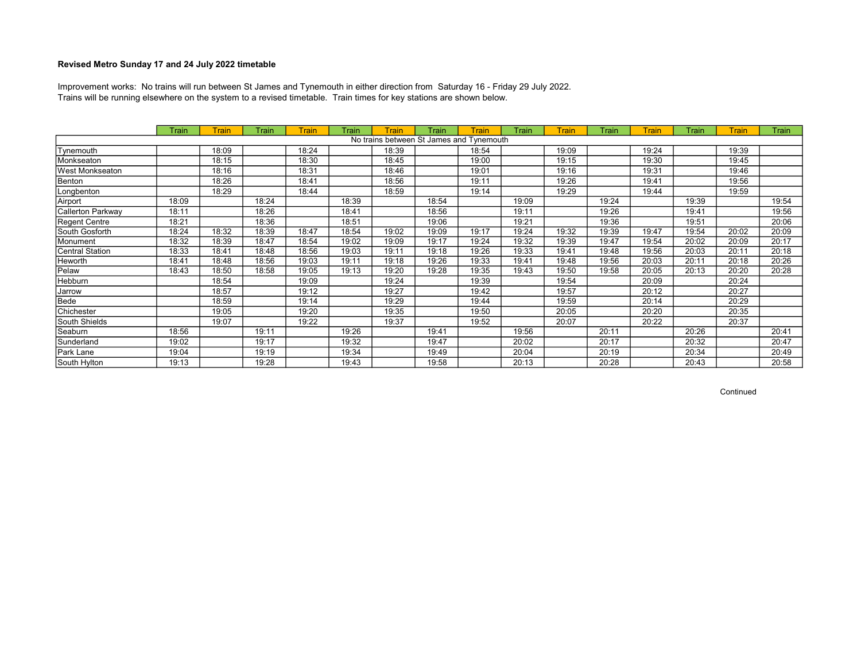Trains will be running elsewhere on the system to a revised timetable. Train times for key stations are shown below. Improvement works: No trains will run between St James and Tynemouth in either direction from Saturday 16 - Friday 29 July 2022.

|                   | Train | Train | Train | <b>Train</b> | Train | <b>Train</b> | Train | Train                                    | Train | <b>Train</b> | Train | Train | Train | Train | Train |
|-------------------|-------|-------|-------|--------------|-------|--------------|-------|------------------------------------------|-------|--------------|-------|-------|-------|-------|-------|
|                   |       |       |       |              |       |              |       | No trains between St James and Tynemouth |       |              |       |       |       |       |       |
| Tynemouth         |       | 18:09 |       | 18:24        |       | 18:39        |       | 18:54                                    |       | 19:09        |       | 19:24 |       | 19:39 |       |
| Monkseaton        |       | 18:15 |       | 18:30        |       | 18:45        |       | 19:00                                    |       | 19:15        |       | 19:30 |       | 19:45 |       |
| West Monkseaton   |       | 18:16 |       | 18:31        |       | 18:46        |       | 19:01                                    |       | 19:16        |       | 19:31 |       | 19:46 |       |
| Benton            |       | 18:26 |       | 18:41        |       | 18:56        |       | 19:11                                    |       | 19:26        |       | 19:41 |       | 19:56 |       |
| Longbenton        |       | 18:29 |       | 18:44        |       | 18:59        |       | 19:14                                    |       | 19:29        |       | 19:44 |       | 19:59 |       |
| Airport           | 18:09 |       | 18:24 |              | 18:39 |              | 18:54 |                                          | 19:09 |              | 19:24 |       | 19:39 |       | 19:54 |
| Callerton Parkway | 18:11 |       | 18:26 |              | 18:41 |              | 18:56 |                                          | 19:11 |              | 19:26 |       | 19:41 |       | 19:56 |
| Regent Centre     | 18:21 |       | 18:36 |              | 18:51 |              | 19:06 |                                          | 19:21 |              | 19:36 |       | 19:51 |       | 20:06 |
| South Gosforth    | 18:24 | 18:32 | 18:39 | 18:47        | 18:54 | 19:02        | 19:09 | 19:17                                    | 19:24 | 19:32        | 19:39 | 19:47 | 19:54 | 20:02 | 20:09 |
| Monument          | 18:32 | 18:39 | 18:47 | 18:54        | 19:02 | 19:09        | 19:17 | 19:24                                    | 19:32 | 19:39        | 19:47 | 19:54 | 20:02 | 20:09 | 20:17 |
| Central Station   | 18:33 | 18:41 | 18:48 | 18:56        | 19:03 | 19:11        | 19:18 | 19:26                                    | 19:33 | 19:41        | 19:48 | 19:56 | 20:03 | 20:11 | 20:18 |
| Heworth           | 18:41 | 18:48 | 18:56 | 19:03        | 19:11 | 19:18        | 19:26 | 19:33                                    | 19:41 | 19:48        | 19:56 | 20:03 | 20:11 | 20:18 | 20:26 |
| Pelaw             | 18:43 | 18:50 | 18:58 | 19:05        | 19:13 | 19:20        | 19:28 | 19:35                                    | 19:43 | 19:50        | 19:58 | 20:05 | 20:13 | 20:20 | 20:28 |
| Hebburn           |       | 18:54 |       | 19:09        |       | 19:24        |       | 19:39                                    |       | 19:54        |       | 20:09 |       | 20:24 |       |
| Jarrow            |       | 18:57 |       | 19:12        |       | 19:27        |       | 19:42                                    |       | 19:57        |       | 20:12 |       | 20:27 |       |
| Bede              |       | 18:59 |       | 19:14        |       | 19:29        |       | 19:44                                    |       | 19:59        |       | 20:14 |       | 20:29 |       |
| Chichester        |       | 19:05 |       | 19:20        |       | 19:35        |       | 19:50                                    |       | 20:05        |       | 20:20 |       | 20:35 |       |
| South Shields     |       | 19:07 |       | 19:22        |       | 19:37        |       | 19:52                                    |       | 20:07        |       | 20:22 |       | 20:37 |       |
| Seaburn           | 18:56 |       | 19:11 |              | 19:26 |              | 19:41 |                                          | 19:56 |              | 20:11 |       | 20:26 |       | 20:41 |
| Sunderland        | 19:02 |       | 19:17 |              | 19:32 |              | 19:47 |                                          | 20:02 |              | 20:17 |       | 20:32 |       | 20:47 |
| Park Lane         | 19:04 |       | 19:19 |              | 19:34 |              | 19:49 |                                          | 20:04 |              | 20:19 |       | 20:34 |       | 20:49 |
| South Hylton      | 19:13 |       | 19:28 |              | 19:43 |              | 19:58 |                                          | 20:13 |              | 20:28 |       | 20:43 |       | 20:58 |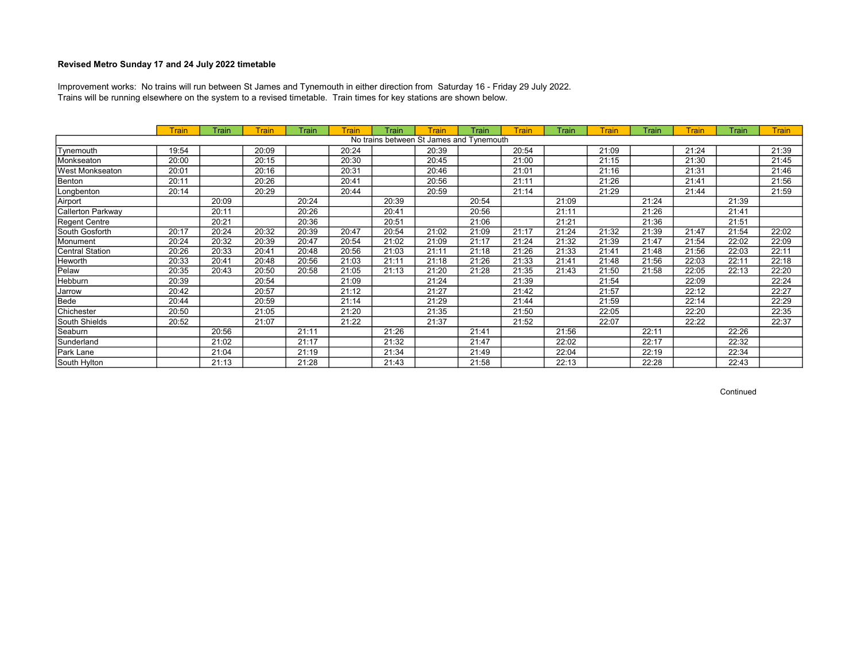Trains will be running elsewhere on the system to a revised timetable. Train times for key stations are shown below. Improvement works: No trains will run between St James and Tynemouth in either direction from Saturday 16 - Friday 29 July 2022.

|                        | <b>Train</b> | Train | Train | Train | Train | Train | Train                                    | Train | <b>Train</b> | Train | <b>Train</b> | Train | <b>Train</b> | Train | <b>Train</b> |
|------------------------|--------------|-------|-------|-------|-------|-------|------------------------------------------|-------|--------------|-------|--------------|-------|--------------|-------|--------------|
|                        |              |       |       |       |       |       | No trains between St James and Tynemouth |       |              |       |              |       |              |       |              |
| Tynemouth              | 19:54        |       | 20:09 |       | 20:24 |       | 20:39                                    |       | 20:54        |       | 21:09        |       | 21:24        |       | 21:39        |
| Monkseaton             | 20:00        |       | 20:15 |       | 20:30 |       | 20:45                                    |       | 21:00        |       | 21:15        |       | 21:30        |       | 21:45        |
| <b>West Monkseaton</b> | 20:01        |       | 20:16 |       | 20:31 |       | 20:46                                    |       | 21:01        |       | 21:16        |       | 21:31        |       | 21:46        |
| Benton                 | 20:11        |       | 20:26 |       | 20:41 |       | 20:56                                    |       | 21:11        |       | 21:26        |       | 21:41        |       | 21:56        |
| Longbenton             | 20:14        |       | 20:29 |       | 20:44 |       | 20:59                                    |       | 21:14        |       | 21:29        |       | 21:44        |       | 21:59        |
| Airport                |              | 20:09 |       | 20:24 |       | 20:39 |                                          | 20:54 |              | 21:09 |              | 21:24 |              | 21:39 |              |
| Callerton Parkway      |              | 20:11 |       | 20:26 |       | 20:41 |                                          | 20:56 |              | 21:11 |              | 21:26 |              | 21:41 |              |
| Regent Centre          |              | 20:21 |       | 20:36 |       | 20:51 |                                          | 21:06 |              | 21:21 |              | 21:36 |              | 21:51 |              |
| South Gosforth         | 20:17        | 20:24 | 20:32 | 20:39 | 20:47 | 20:54 | 21:02                                    | 21:09 | 21:17        | 21:24 | 21:32        | 21:39 | 21:47        | 21:54 | 22:02        |
| Monument               | 20:24        | 20:32 | 20:39 | 20:47 | 20:54 | 21:02 | 21:09                                    | 21:17 | 21:24        | 21:32 | 21:39        | 21:47 | 21:54        | 22:02 | 22:09        |
| Central Station        | 20:26        | 20:33 | 20:41 | 20:48 | 20:56 | 21:03 | 21:11                                    | 21:18 | 21:26        | 21:33 | 21:41        | 21:48 | 21:56        | 22:03 | 22:11        |
| <b>Heworth</b>         | 20:33        | 20:41 | 20:48 | 20:56 | 21:03 | 21:11 | 21:18                                    | 21:26 | 21:33        | 21:41 | 21:48        | 21:56 | 22:03        | 22:11 | 22:18        |
| Pelaw                  | 20:35        | 20:43 | 20:50 | 20:58 | 21:05 | 21:13 | 21:20                                    | 21:28 | 21:35        | 21:43 | 21:50        | 21:58 | 22:05        | 22:13 | 22:20        |
| Hebburn                | 20:39        |       | 20:54 |       | 21:09 |       | 21:24                                    |       | 21:39        |       | 21:54        |       | 22:09        |       | 22:24        |
| Jarrow                 | 20:42        |       | 20:57 |       | 21:12 |       | 21:27                                    |       | 21:42        |       | 21:57        |       | 22:12        |       | 22:27        |
| Bede                   | 20:44        |       | 20:59 |       | 21:14 |       | 21:29                                    |       | 21:44        |       | 21:59        |       | 22:14        |       | 22:29        |
| Chichester             | 20:50        |       | 21:05 |       | 21:20 |       | 21:35                                    |       | 21:50        |       | 22:05        |       | 22:20        |       | 22:35        |
| South Shields          | 20:52        |       | 21:07 |       | 21:22 |       | 21:37                                    |       | 21:52        |       | 22:07        |       | 22:22        |       | 22:37        |
| Seaburn                |              | 20:56 |       | 21:11 |       | 21:26 |                                          | 21:41 |              | 21:56 |              | 22:11 |              | 22:26 |              |
| Sunderland             |              | 21:02 |       | 21:17 |       | 21:32 |                                          | 21:47 |              | 22:02 |              | 22:17 |              | 22:32 |              |
| Park Lane              |              | 21:04 |       | 21:19 |       | 21:34 |                                          | 21:49 |              | 22:04 |              | 22:19 |              | 22:34 |              |
| South Hylton           |              | 21:13 |       | 21:28 |       | 21:43 |                                          | 21:58 |              | 22:13 |              | 22:28 |              | 22:43 |              |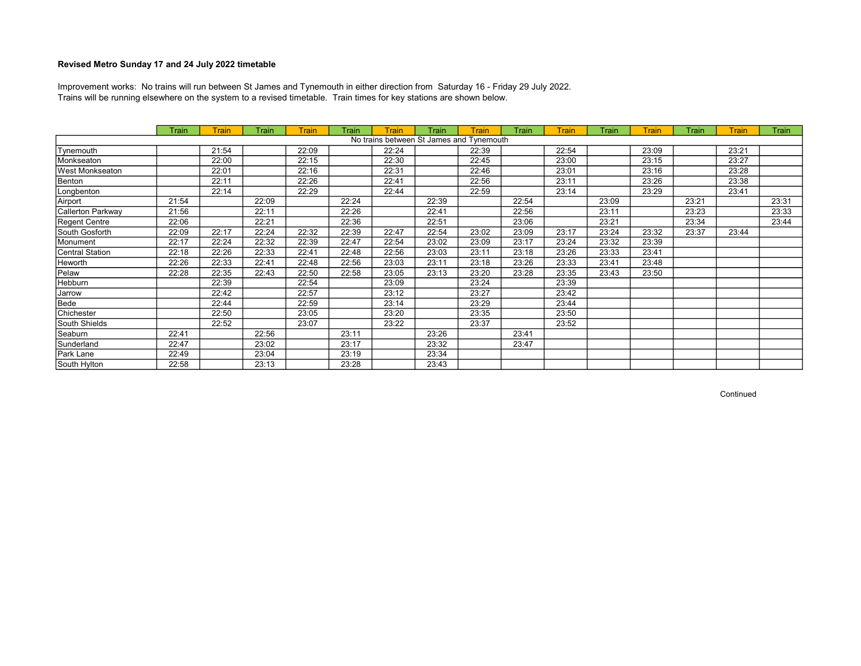Trains will be running elsewhere on the system to a revised timetable. Train times for key stations are shown below. Improvement works: No trains will run between St James and Tynemouth in either direction from Saturday 16 - Friday 29 July 2022.

|                   | Train | Train | Train | <b>Train</b> | Train | <b>Train</b> | Train                                    | Train | <b>Train</b> | <b>Train</b> | <b>Train</b> | <b>Train</b> | Train | <b>Train</b> | Train |
|-------------------|-------|-------|-------|--------------|-------|--------------|------------------------------------------|-------|--------------|--------------|--------------|--------------|-------|--------------|-------|
|                   |       |       |       |              |       |              | No trains between St James and Tynemouth |       |              |              |              |              |       |              |       |
| Tynemouth         |       | 21:54 |       | 22:09        |       | 22:24        |                                          | 22:39 |              | 22:54        |              | 23:09        |       | 23:21        |       |
| Monkseaton        |       | 22:00 |       | 22:15        |       | 22:30        |                                          | 22:45 |              | 23:00        |              | 23:15        |       | 23:27        |       |
| West Monkseaton   |       | 22:01 |       | 22:16        |       | 22:31        |                                          | 22:46 |              | 23:01        |              | 23:16        |       | 23:28        |       |
| Benton            |       | 22:11 |       | 22:26        |       | 22:41        |                                          | 22:56 |              | 23:11        |              | 23:26        |       | 23:38        |       |
| Longbenton        |       | 22:14 |       | 22:29        |       | 22:44        |                                          | 22:59 |              | 23:14        |              | 23:29        |       | 23:41        |       |
| Airport           | 21:54 |       | 22:09 |              | 22:24 |              | 22:39                                    |       | 22:54        |              | 23:09        |              | 23:21 |              | 23:31 |
| Callerton Parkway | 21:56 |       | 22:11 |              | 22:26 |              | 22:41                                    |       | 22:56        |              | 23:11        |              | 23:23 |              | 23:33 |
| Regent Centre     | 22:06 |       | 22:21 |              | 22:36 |              | 22:51                                    |       | 23:06        |              | 23:21        |              | 23:34 |              | 23:44 |
| South Gosforth    | 22:09 | 22:17 | 22:24 | 22:32        | 22:39 | 22:47        | 22:54                                    | 23:02 | 23:09        | 23:17        | 23:24        | 23:32        | 23:37 | 23:44        |       |
| Monument          | 22:17 | 22:24 | 22:32 | 22:39        | 22:47 | 22:54        | 23:02                                    | 23:09 | 23:17        | 23:24        | 23:32        | 23:39        |       |              |       |
| Central Station   | 22:18 | 22:26 | 22:33 | 22:41        | 22:48 | 22:56        | 23:03                                    | 23:11 | 23:18        | 23:26        | 23:33        | 23:41        |       |              |       |
| Heworth           | 22:26 | 22:33 | 22:41 | 22:48        | 22:56 | 23:03        | 23:11                                    | 23:18 | 23:26        | 23:33        | 23:41        | 23:48        |       |              |       |
| Pelaw             | 22:28 | 22:35 | 22:43 | 22:50        | 22:58 | 23:05        | 23:13                                    | 23:20 | 23:28        | 23:35        | 23:43        | 23:50        |       |              |       |
| Hebburn           |       | 22:39 |       | 22:54        |       | 23:09        |                                          | 23:24 |              | 23:39        |              |              |       |              |       |
| Jarrow            |       | 22:42 |       | 22:57        |       | 23:12        |                                          | 23:27 |              | 23:42        |              |              |       |              |       |
| Bede              |       | 22:44 |       | 22:59        |       | 23:14        |                                          | 23:29 |              | 23:44        |              |              |       |              |       |
| Chichester        |       | 22:50 |       | 23:05        |       | 23:20        |                                          | 23:35 |              | 23:50        |              |              |       |              |       |
| South Shields     |       | 22:52 |       | 23:07        |       | 23:22        |                                          | 23:37 |              | 23:52        |              |              |       |              |       |
| Seaburn           | 22:41 |       | 22:56 |              | 23:11 |              | 23:26                                    |       | 23:41        |              |              |              |       |              |       |
| Sunderland        | 22:47 |       | 23:02 |              | 23:17 |              | 23:32                                    |       | 23:47        |              |              |              |       |              |       |
| Park Lane         | 22:49 |       | 23:04 |              | 23:19 |              | 23:34                                    |       |              |              |              |              |       |              |       |
| South Hylton      | 22:58 |       | 23:13 |              | 23:28 |              | 23:43                                    |       |              |              |              |              |       |              |       |